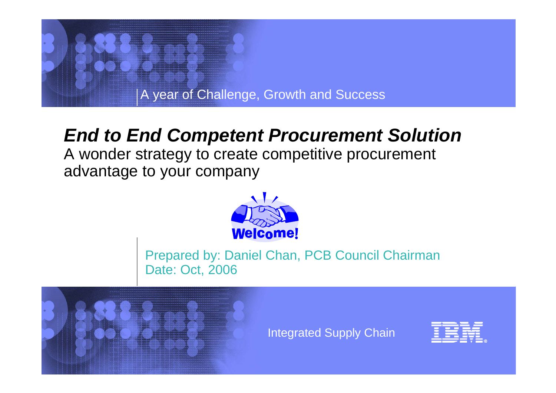

## *End to End Competent Procurement Solution*

A wonder strategy to create competitive procurement advantage to your company



Prepared by: Daniel Chan, PCB Council Chairman Date: Oct, 2006



Integrated Supply Chain

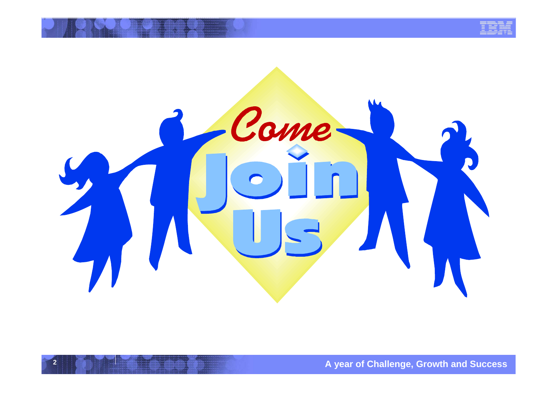

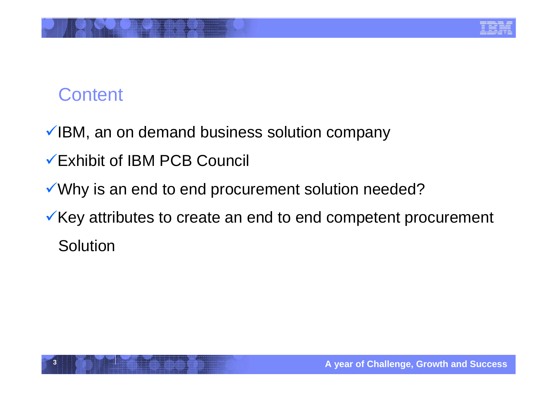

# **Content**

- $\checkmark$  IBM, an on demand business solution company
- 9Exhibit of IBM PCB Council
- Why is an end to end procurement solution needed?
- $\checkmark$  Key attributes to create an end to end competent procurement **Solution**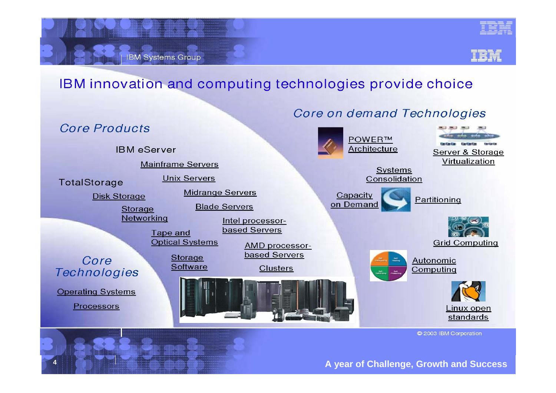

**IBM Systems Group** 



### IBM innovation and computing technologies provide choice

#### Core on demand Technologies



C 2003 IBM Corporation

#### A vear of Challenge, Growth and Success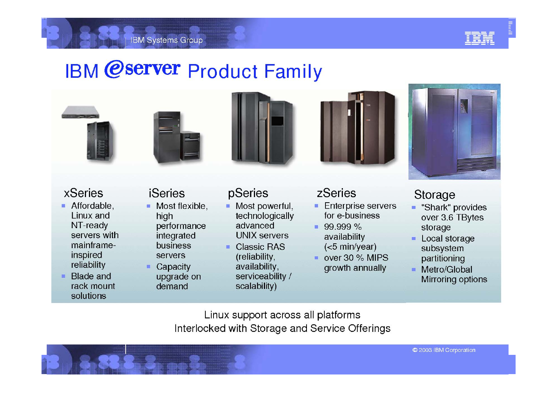

# **IBM @server Product Family**









## **xSeries**

- Affordable, Linux and NT-ready servers with mainframeinspired reliability
- Blade and  $\blacksquare$ rack mount solutions

## **iSeries**

- $\blacksquare$  Most flexible, high performance integrated **business** servers
- Capacity upgrade on demand

### pSeries

- Most powerful,  $\blacksquare$ technologically advanced **UNIX servers**
- **Classic RAS**  $\blacksquare$ (reliability, availability, serviceability / scalability)

#### zSeries

- **Enterprise servers**  $\blacksquare$ for e-business
- $99.999\%$ availability  $(<5$  min/year)
- over 30  $%$  MIPS growth annually



### Storage

- "Shark" provides m. over 3.6 TBytes storage
- Local storage subsystem partitioning
- Metro/Global **Mirroring options**

Linux support across all platforms Interlocked with Storage and Service Offerings

C 2003 IBM Corporation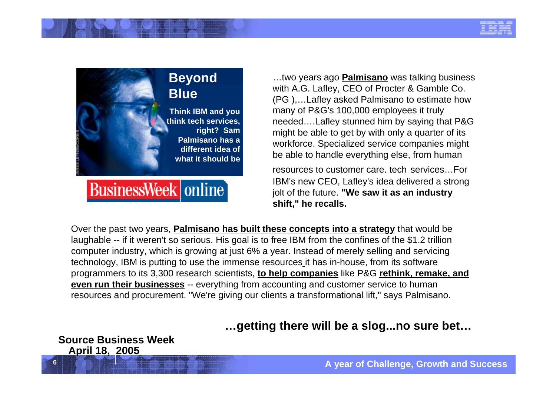



…two years ago **Palmisano** was talking business with A.G. Lafley, CEO of Procter & Gamble Co. (PG ),…Lafley asked Palmisano to estimate how many of P&G's 100,000 employees it truly needed….Lafley stunned him by saying that P&G might be able to get by with only a quarter of its workforce. Specialized service companies might be able to handle everything else, from human

resources to customer care. tech services…For IBM's new CEO, Lafley's idea delivered a strong jolt of the future. **"We saw it as an industry shift," he recalls.** 

Over the past two years, **Palmisano has built these concepts into a strategy** that would be laughable -- if it weren't so serious. His goal is to free IBM from the confines of the \$1.2 trillion computer industry, which is growing at just 6% a year. Instead of merely selling and servicing technology, IBM is putting to use the immense resources it has in-house, from its software programmers to its 3,300 research scientists, **to help companies** like P&G **rethink, remake, and even run their businesses** -- everything from accounting and customer service to human resources and procurement. "We're giving our clients a transformational lift," says Palmisano.

**…getting there will be a slog...no sure bet…**

**Source Business Week April 18, 2005**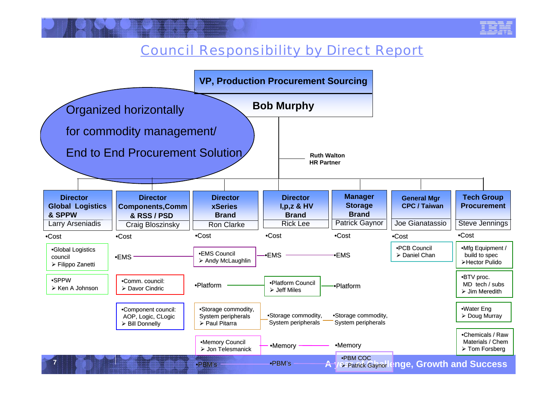### Council Responsibility by Direct Report

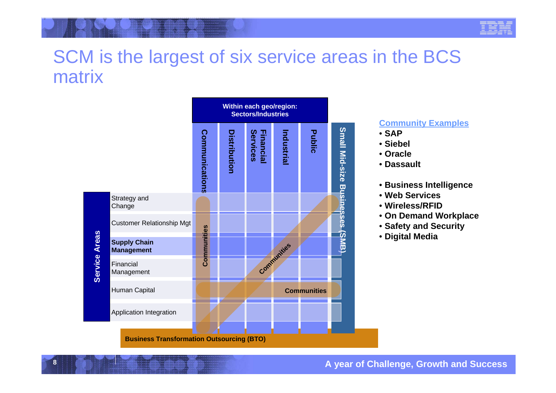| ٠ |  |  |   |  |
|---|--|--|---|--|
|   |  |  |   |  |
|   |  |  |   |  |
|   |  |  |   |  |
|   |  |  |   |  |
|   |  |  |   |  |
|   |  |  | ė |  |

## SCM is the largest of six service areas in the BCS matrix



#### **Community Examples**

- $\cdot$  SAP
- Siehel
- Oracle
- Dassault
- Business Intelligence
- Web Services
- Wireless/RFID
- . On Demand Workplace
- Safety and Security
- Digital Media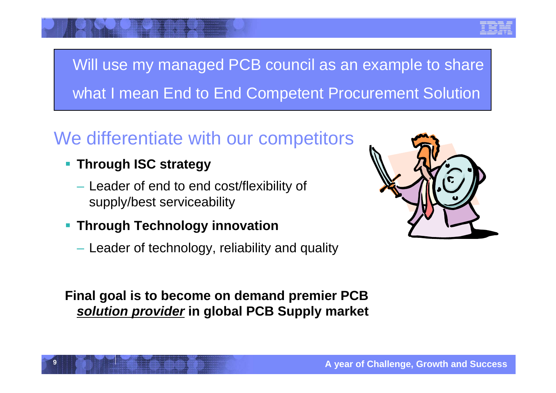

# Will use my managed PCB council as an example to share what I mean End to End Competent Procurement Solution

# We differentiate with our competitors

- **Through ISC strategy**
	- Leader of end to end cost/flexibility of supply/best serviceability
- **Through Technology innovation**
	- $-$  Leader of technology, reliability and quality

**Final goal is to become on demand premier PCB**  *solution provider* **in global PCB Supply market**

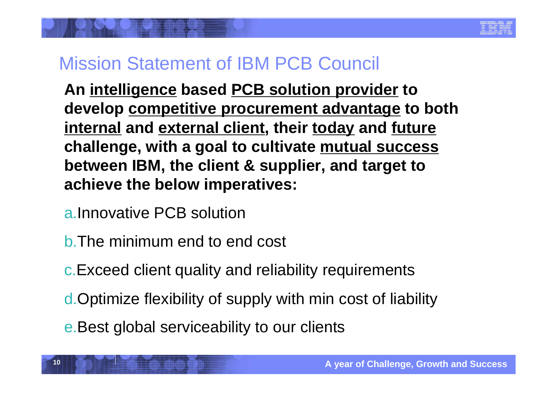## Mission Statement of IBM PCB Council

**An intelligence based PCB solution provider to develop competitive procurement advantage to both internal and external client, their today and future challenge, with a goal to cultivate mutual success between IBM, the client & supplier, and target to achieve the below imperatives:**

- a.Innovative PCB solution
- b.The minimum end to end cost
- c.Exceed client quality and reliability requirements
- d.Optimize flexibility of supply with min cost of liability
- e.Best global serviceability to our clients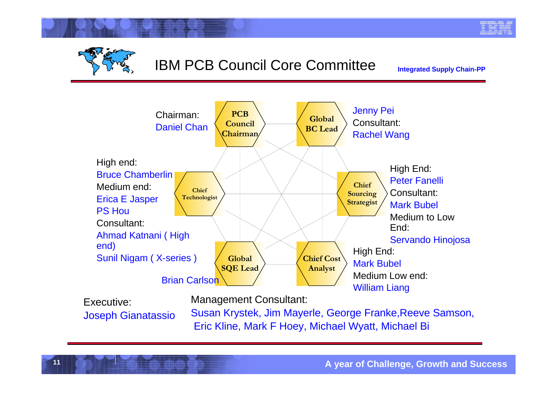

## IBM PCB Council Core Committee

**Integrated Supply Chain-PP**



Executive:Joseph Gianatassio

**11**

Management Consultant:

Susan Krystek, Jim Mayerle, George Franke,Reeve Samson, Eric Kline, Mark F Hoey, Michael Wyatt, Michael Bi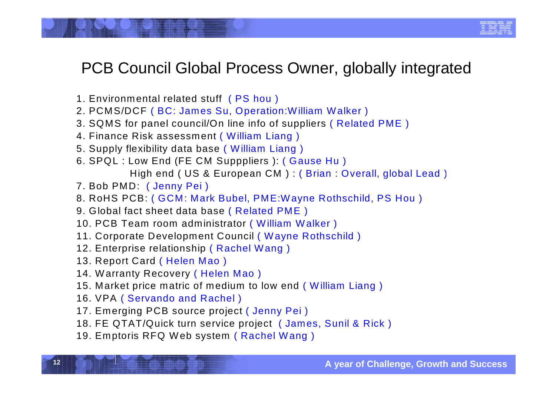## PCB Council Global Process Owner, globally integrated

- 1. Environmental related stuff ( PS hou )
- 2. PCMS/DCF ( BC: James Su, Operation:William Walker )
- 3. SQMS for panel council/On line info of suppliers ( Related PME )
- 4. Finance Risk assessment ( William Liang )
- 5. Supply flexibility data base ( William Liang )
- 6. SPQL : Low End (FE CM Supppliers ): ( Gause Hu ) High end ( US & European CM ) : ( Brian : Overall, global Lead )
- 7. Bob PMD: ( Jenny Pei )
- 8. RoHS PCB: ( GCM: Mark Bubel, PME:Wayne Rothschild, PS Hou )
- 9. Global fact sheet data base ( Related PME )
- 10. PCB Team room administrator ( William Walker )
- 11. Corporate Development Council ( Wayne Rothschild )
- 12. Enterprise relationship ( Rachel Wang )
- 13. Report Card ( Helen Mao )
- 14. Warranty Recovery ( Helen Mao )
- 15. Market price matric of medium to low end ( William Liang )
- 16. VPA ( Servando and Rachel )
- 17. Emerging PCB source project ( Jenny Pei )
- 18. FE QTAT/Quick turn service project ( James, Sunil & Rick )
- 19. Emptoris RFQ Web system ( Rachel Wang )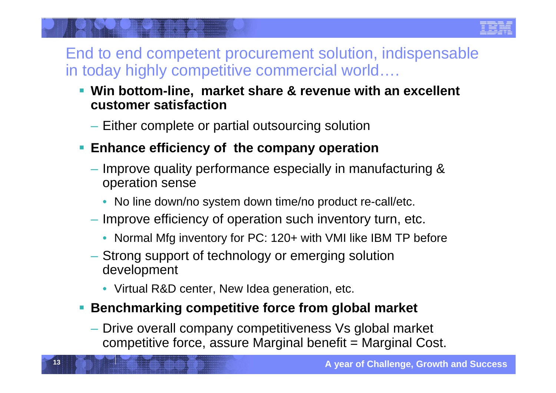

## End to end competent procurement solution, indispensable in today highly competitive commercial world….

- **Win bottom-line, market share & revenue with an excellent customer satisfaction**
	- $-$  Either complete or partial outsourcing solution
- **Enhance efficiency of the company operation**
	- $-$  Improve quality performance especially in manufacturing & operation sense
		- No line down/no system down time/no product re-call/etc.
	- $-$  Improve efficiency of operation such inventory turn, etc.
		- Normal Mfg inventory for PC: 120+ with VMI like IBM TP before
	- Strong support of technology or emerging solution development
		- Virtual R&D center, New Idea generation, etc.

**13**

## **Benchmarking competitive force from global market**

 Drive overall company competitiveness Vs global market competitive force, assure Marginal benefit = Marginal Cost.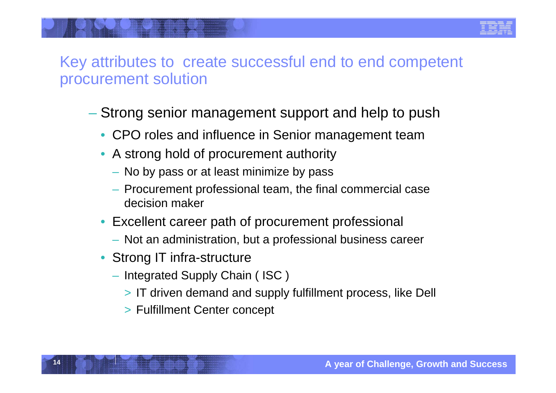## Key attributes to create successful end to end competent procurement solution

- Strong senior management support and help to push
	- CPO roles and influence in Senior management team
	- A strong hold of procurement authority
		- No by pass or at least minimize by pass
		- Procurement professional team, the final commercial case decision maker
	- Excellent career path of procurement professional
		- Not an administration, but a professional business career
	- Strong IT infra-structure

- Integrated Supply Chain ( ISC )
	- > IT driven demand and supply fulfillment process, like Dell
	- > Fulfillment Center concept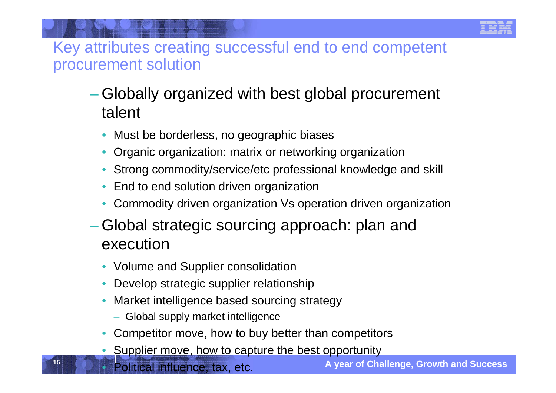Key attributes creating successful end to end competent procurement solution

- Globally organized with best global procurement talent
	- •Must be borderless, no geographic biases
	- •Organic organization: matrix or networking organization
	- •Strong commodity/service/etc professional knowledge and skill
	- •End to end solution driven organization
	- •Commodity driven organization Vs operation driven organization
- Global strategic sourcing approach: plan and execution
	- Volume and Supplier consolidation
	- •Develop strategic supplier relationship
	- • Market intelligence based sourcing strategy
		- Global supply market intelligence
	- •Competitor move, how to buy better than competitors
	- •Supplier move, how to capture the best opportunity
	- •Political influence, tax, etc.

**15**

**A year of Challenge, Growth and Success**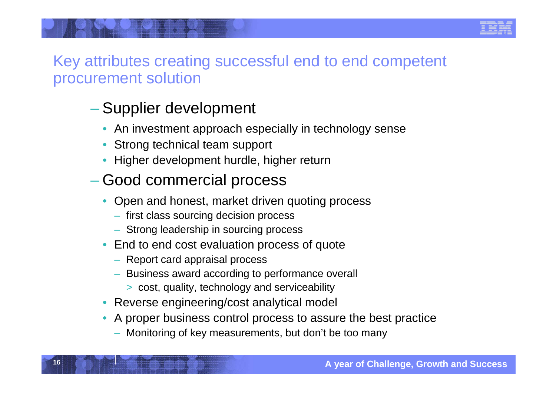

## Key attributes creating successful end to end competent procurement solution

## Supplier development

- An investment approach especially in technology sense
- •Strong technical team support
- •Higher development hurdle, higher return

#### –Good commercial process

- • Open and honest, market driven quoting process
	- first class sourcing decision process
	- Strong leadership in sourcing process
- End to end cost evaluation process of quote
	- Report card appraisal process

- Business award according to performance overall
	- > cost, quality, technology and serviceability
- Reverse engineering/cost analytical model
- • A proper business control process to assure the best practice
	- Monitoring of key measurements, but don't be too many